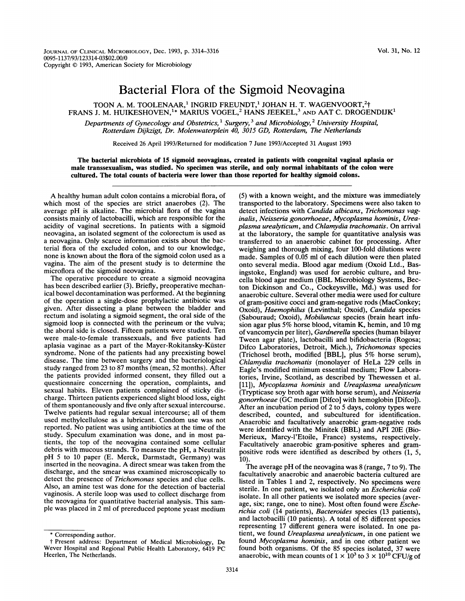## Bacterial Flora of the Sigmoid Neovagina

TOON A. M. TOOLENAAR,<sup>1</sup> INGRID FREUNDT,<sup>1</sup> JOHAN H. T. WAGENVOORT,<sup>2</sup>† FRANS J. M. HUIKESHOVEN,<sup>1\*</sup> MARIUS VOGEL,<sup>2</sup> HANS JEEKEL,<sup>3</sup> AND AAT C. DROGENDIJK<sup>1</sup> Departments of Gynecology and Obstetrics,<sup>1</sup> Surgery,<sup>3</sup> and Microbiology,<sup>2</sup> University Hospital,

Rotterdam Dijkzigt, Dr. Molenwaterplein 40, 3015 GD, Rotterdam, The Netherlands

Received 26 April 1993/Returned for modification 7 June 1993/Accepted 31 August 1993

The bacterial microbiota of 15 sigmoid neovaginas, created in patients with congenital vaginal aplasia or male transsexualism, was studied. No specimen was sterile, and only normal inhabitants of the colon were cultured. The total counts of bacteria were lower than those reported for healthy sigmoid colons.

A healthy human adult colon contains <sup>a</sup> microbial flora, of which most of the species are strict anaerobes (2). The average pH is alkaline. The microbial flora of the vagina consists mainly of lactobacilli, which are responsible for the acidity of vaginal secretions. In patients with a sigmoid neovagina, an isolated segment of the colorectum is used as a neovagina. Only scarce information exists about the bacterial flora of the excluded colon, and to our knowledge, none is known about the flora of the sigmoid colon used as a vagina. The aim of the present study is to determine the microflora of the sigmoid neovagina.

The operative procedure to create a sigmoid neovagina has been described earlier (3). Briefly, preoperative mechanical bowel decontamination was performed. At the beginning of the operation a single-dose prophylactic antibiotic was given. After dissecting a plane between the bladder and rectum and isolating a sigmoid segment, the oral side of the sigmoid loop is connected with the perineum or the vulva; the aboral side is closed. Fifteen patients were studied. Ten were male-to-female transsexuals, and five patients had aplasia vaginae as a part of the Mayer-Rokitansky-Kuster syndrome. None of the patients had any preexisting bowel disease. The time between surgery and the bacteriological study ranged from 23 to 87 months (mean, 52 months). After the patients provided informed consent, they filled out a questionnaire concerning the operation, complaints, and sexual habits. Eleven patients complained of sticky discharge. Thirteen patients experienced slight blood loss, eight of them spontaneously and five only after sexual intercourse. Twelve patients had regular sexual intercourse; all of them used methylcellulose as a lubricant. Condom use was not reported. No patient was using antibiotics at the time of the study. Speculum examination was done, and in most patients, the top of the neovagina contained some cellular debris with mucous strands. To measure the pH, a Neutralit pH <sup>5</sup> to <sup>10</sup> paper (E. Merck, Darmstadt, Germany) was inserted in the neovagina. A direct smear was taken from the discharge, and the smear was examined microscopically to detect the presence of Trichomonas species and clue cells. Also, an amine test was done for the detection of bacterial vaginosis. A sterile loop was used to collect discharge from the neovagina for quantitative bacterial analysis. This sample was placed in 2 ml of prereduced peptone yeast medium

(5) with a known weight, and the mixture was immediately transported to the laboratory. Specimens were also taken to detect infections with Candida albicans, Trichomonas vaginalis, Neisseria gonorrhoeae, Mycoplasma hominis, Ureaplasma urealyticum, and Chlamydia trachomatis. On arrival at the laboratory, the sample for quantitative analysis was transferred to an anaerobic cabinet for processing. After weighing and thorough mixing, four 100-fold dilutions were made. Samples of 0.05 ml of each dilution were then plated onto several media. Blood agar medium (Oxoid Ltd., Basingstoke, England) was used for aerobic culture, and brucella blood agar medium (BBL Microbiology Systems, Becton Dickinson and Co., Cockeysville, Md.) was used for anaerobic culture. Several other media were used for culture of gram-positive cocci and gram-negative rods (MacConkey; Oxoid), Haemophilus (Levinthal; Oxoid), Candida species (Sabouraud; Oxoid), Mobiluncus species (brain heart infusion agar plus 5% horse blood, vitamin K, hemin, and <sup>10</sup> mg of vancomycin per liter), Gardnerella species (human bilayer Tween agar plate), lactobacilli and bifidobacteria (Rogosa; Difco Laboratories, Detroit, Mich.), Trichomonas species (Trichosel broth, modified [BBL], plus 5% horse serum), Chlamydia trachomatis (monolayer of HeLa 229 cells in Eagle's modified minimum essential medium; Flow Laboratories, Irvine, Scotland, as described by Thewessen et al. [11]), Mycoplasma hominis and Ureaplasma urealyticum (Trypticase soy broth agar with horse serum), and Neisseria gonorrhoeae (GC medium [Difco] with hemoglobin [Difco]). After an incubation period of 2 to 5 days, colony types were described, counted, and subcultured for identification. Anaerobic and facultatively anaerobic gram-negative rods were identified with the Minitek (BBL) and API 20E (Bio-Merieux, Marcy-l'Etoile, France) systems, respectively. Facultatively anaerobic gram-positive spheres and grampositive rods were identified as described by others (1, 5, 10).

The average pH of the neovagina was  $8$  (range, 7 to 9). The facultatively anaerobic and anaerobic bacteria cultured are listed in Tables <sup>1</sup> and 2, respectively. No specimens were sterile. In one patient, we isolated only an *Escherichia coli* isolate. In all other patients we isolated more species (average, six; range, one to nine). Most often found were Escherichia coli (14 patients), Bacteroides species (13 patients), and lactobacilli (10 patients). A total of <sup>85</sup> different species representing 17 different genera were isolated. In one patient, we found Ureaplasma urealyticum, in one patient we found Mycoplasma hominis, and in one other patient we found both organisms. Of the 85 species isolated, 37 were anaerobic, with mean counts of  $1 \times 10^3$  to  $3 \times 10^{10}$  CFU/g of

<sup>\*</sup> Corresponding author.

<sup>t</sup> Present address: Department of Medical Microbiology, De Wever Hospital and Regional Public Health Laboratory, 6419 PC Heerlen, The Netherlands.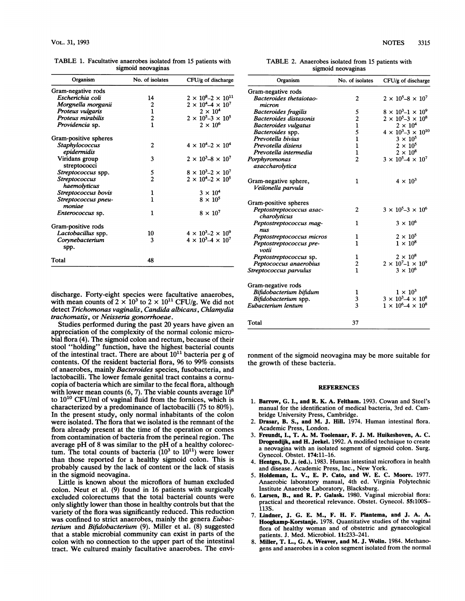| Organism                       | No. of isolates         | CFU/g of discharge                   |
|--------------------------------|-------------------------|--------------------------------------|
| Gram-negative rods             |                         |                                      |
| Escherichia coli               | 14                      | $2 \times 10^{8} - 2 \times 10^{11}$ |
| Morgnella morganii             | 2                       | $2 \times 10^4 - 4 \times 10^7$      |
| Proteus vulgaris               | $\mathbf{1}$            | $2 \times 10^4$                      |
| Proteus mirabilis              | $\overline{\mathbf{c}}$ | $2 \times 10^5 - 3 \times 10^5$      |
| Providencia sp.                | $\mathbf{1}$            | $2 \times 10^6$                      |
| Gram-positive spheres          |                         |                                      |
| Staphylococcus<br>epidermidis  | 2                       | $4 \times 10^{4} - 2 \times 10^{4}$  |
| Viridans group<br>streptococci | 3                       | $2 \times 10^3 - 8 \times 10^7$      |
| Streptococcus spp.             |                         | $8 \times 10^3 - 2 \times 10^7$      |
| <b>Streptococcus</b>           | $\frac{5}{2}$           | $2 \times 10^{4} - 2 \times 10^{5}$  |
| haemolyticus                   |                         |                                      |
| Streptococcus bovis            | 1                       | $3 \times 10^4$                      |
| Streptococcus pneu-<br>moniae  | 1                       | $8 \times 10^5$                      |
| <i>Enterococcus</i> sp.        | 1                       | $8 \times 10^7$                      |
| Gram-positive rods             |                         |                                      |
| Lactobacillus spp.             | 10                      | $4 \times 10^3 - 2 \times 10^9$      |
| Corynebacterium<br>spp.        | 3                       | $4 \times 10^3 - 4 \times 10^7$      |
| Total                          | 48                      |                                      |

TABLE 1. Facultative anaerobes isolated from <sup>15</sup> patients with sigmoid neovaginas

discharge. Forty-eight species were facultative anaerobes, with mean counts of  $2 \times 10^3$  to  $2 \times 10^{11}$  CFU/g. We did not detect Trichomonas vaginalis, Candida albicans, Chlamydia trachomatis, or Neisseria gonorrhoeae.

Studies performed during the past 20 years have given an appreciation of the complexity of the normal colonic microbial flora (4). The sigmoid colon and rectum, because of their stool "holding" function, have the highest bacterial counts of the intestinal tract. There are about  $10^{11}$  bacteria per g of contents. Of the resident bacterial flora, 96 to 99% consists of anaerobes, mainly Bacteroides species, fusobacteria, and lactobacilli. The lower female genital tract contains a cornucopia of bacteria which are similar to the fecal flora, although with lower mean counts  $(6, 7)$ . The viable counts average  $10^8$ to 1010 CFU/ml of vaginal fluid from the fornices, which is characterized by a predominance of lactobacilli (75 to 80%). In the present study, only normal inhabitants of the colon were isolated. The flora that we isolated is the remnant of the flora already present at the time of the operation or comes from contamination of bacteria from the perineal region. The average pH of <sup>8</sup> was similar to the pH of <sup>a</sup> healthy colorectum. The total counts of bacteria  $(10^3$  to  $10^{11})$  were lower than those reported for a healthy sigmoid colon. This is probably caused by the lack of content or the lack of stasis in the sigmoid neovagina.

Little is known about the microflora of human excluded colon. Neut et al. (9) found in 16 patients with surgically excluded colorectums that the total bacterial counts were only slightly lower than those in healthy controls but that the variety of the flora was significantly reduced. This reduction was confined to strict anaerobes, mainly the genera Eubacterium and Bifidobacterium (9). Miller et al. (8) suggested that a stable microbial community can exist in parts of the colon with no connection to the upper part of the intestinal tract. We cultured mainly facultative anaerobes. The envi-

|                    | TABLE 2. Anaerobes isolated from 15 patients with |  |  |  |  |  |
|--------------------|---------------------------------------------------|--|--|--|--|--|
| sigmoid neovaginas |                                                   |  |  |  |  |  |

| Organism                    | No. of isolates         | CFU/g of discharge                   |
|-----------------------------|-------------------------|--------------------------------------|
| Gram-negative rods          |                         |                                      |
| Bacteroides thetaiotao-     | 2                       | $2 \times 10^5 - 8 \times 10^7$      |
| micron                      |                         |                                      |
| <b>Bacteroides fragilis</b> | 5                       | $8 \times 10^3 - 1 \times 10^9$      |
| Bacteroides distasonis      | $\overline{\mathbf{c}}$ | $2 \times 10^5 - 3 \times 10^8$      |
| Bacteroides vulgatus        | $\mathbf{1}$            | $2 \times 10^4$                      |
| <i>Bacteroides</i> spp.     | 5                       | $4 \times 10^{3} - 3 \times 10^{10}$ |
| Prevotella bivius           | 1                       | $3 \times 10^5$                      |
| Prevotella disiens          | 1                       | $2\times10^5$                        |
| Prevotella intermedia       | 1                       | $2 \times 10^8$                      |
| Porphyromonas               | $\overline{2}$          | $3 \times 10^5 - 4 \times 10^7$      |
| asaccharolytica             |                         |                                      |
| Gram-negative sphere,       | 1                       | $4 \times 10^3$                      |
| Veilonella parvula          |                         |                                      |
| Gram-positive spheres       |                         |                                      |
| Peptostreptococcus asac-    | 2                       | $3 \times 10^5 - 3 \times 10^6$      |
| charolyticus                |                         |                                      |
| Peptostreptococcus mag-     | 1                       | $3 \times 10^6$                      |
| nus                         |                         |                                      |
| Peptostreptococcus micros   | 1                       | $2 \times 10^5$                      |
| Peptostreptococcus pre-     | 1                       | $1 \times 10^8$                      |
| votii                       |                         |                                      |
| Peptostreptococcus sp.      | 1                       | $2 \times 10^8$                      |
| Peptococcus anaerobius      | $\frac{2}{1}$           | $2 \times 10^{7} - 1 \times 10^{9}$  |
| Streptococcus parvulus      |                         | $3 \times 10^6$                      |
| Gram-negative rods          |                         |                                      |
| Bifidobacterium bifidum     | 1                       | $1 \times 10^3$                      |
| Bifidobacterium spp.        | 3                       | $3 \times 10^3 - 4 \times 10^8$      |
| Eubacterium lentum          | $\overline{\mathbf{3}}$ | $1 \times 10^6 - 4 \times 10^8$      |
| Total                       | 37                      |                                      |

ronment of the sigmoid neovagina may be more suitable for the growth of these bacteria.

## **REFERENCES**

- 1. Barrow, G. I., and R. K. A. Feltham. 1993. Cowan and Steel's manual for the identification of medical bacteria, 3rd ed. Cambridge University Press, Cambridge.
- 2. Drasar, B. S., and M. J. Hill. 1974. Human intestinal flora. Academic Press, London.
- 3. Freundt, I., T. A. M. Toolenaar, F. J. M. Huikeshoven, A. C. Drogendik, and H. Jeekel. 1992. A modified technique to create a neovagina with an isolated segment of sigmoid colon. Surg. Gynecol. Obstet. 174:11-16.
- 4. Hentges, D. J. (ed.). 1983. Human intestinal microflora in health and disease. Academic Press, Inc., New York.
- 5. Holdeman, L. V., E. P. Cato, and W. E. C. Moore. 1977. Anaerobic laboratory manual, 4th ed. Virginia Polytechnic Institute Anaerobe Laboratory, Blacksburg.
- 6. Larsen, B., and R. P. Galask. 1980. Vaginal microbial flora: practical and theoretical relevance. Obstet. Gynecol. 55:100S-113S.
- 7. Lindner, J. G. E. M., F. H. F. Plantema, and J. A. A. Hoogkamp-Korstanje. 1978. Quantitative studies of the vaginal flora of healthy woman and of obstetric and gynaecological patients. J. Med. Microbiol. 11:233-241.
- 8. Miller, T. L., G. A. Weaver, and M. J. Wolin. 1984. Methanogens and anaerobes in a colon segment isolated from the normal